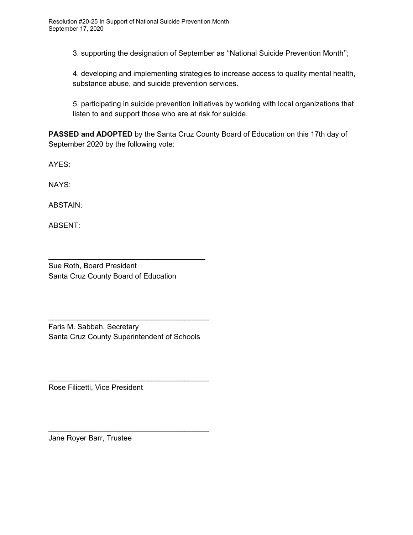3. supporting the designation of September as ''National Suicide Prevention Month'';

4. developing and implementing strategies to increase access to quality mental health, substance abuse, and suicide prevention services.

5. participating in suicide prevention initiatives by working with local organizations that listen to and support those who are at risk for suicide.

**PASSED and ADOPTED** by the Santa Cruz County Board of Education on this 17th day of September 2020 by the following vote:

AYES:

NAYS:

ABSTAIN:

ABSENT:

 $\_$ 

Sue Roth, Board President Santa Cruz County Board of Education

 $\frac{1}{2}$ 

Faris M. Sabbah, Secretary Santa Cruz County Superintendent of Schools

 $\cup$  ive  $\longrightarrow$ 

Rose Filicetti, Vice President

 $\frac{1}{\sqrt{2}}$ 

Jane Royer Barr, Trustee